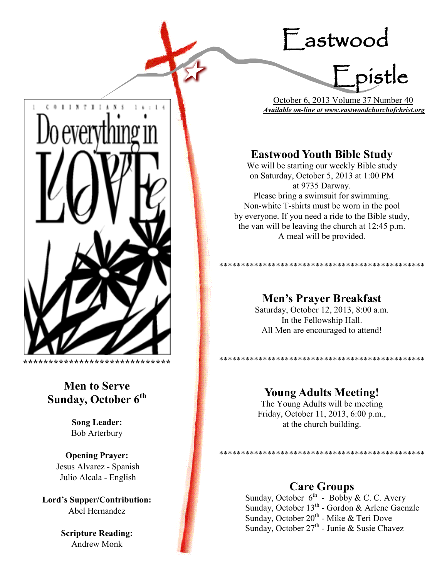# Eastwood



 October 6, 2013 Volume 37 Number 40 *Available on-line at www.eastwoodchurchofchrist.org*

# **Eastwood Youth Bible Study**

We will be starting our weekly Bible study on Saturday, October 5, 2013 at 1:00 PM at 9735 Darway. Please bring a swimsuit for swimming. Non-white T-shirts must be worn in the pool by everyone. If you need a ride to the Bible study, the van will be leaving the church at 12:45 p.m. A meal will be provided.

## **Men's Prayer Breakfast**

\*\*\*\*\*\*\*\*\*\*\*\*\*\*\*\*\*\*\*\*\*\*\*\*\*\*\*\*\*\*\*\*\*\*\*\*\*\*\*\*\*\*\*\*\*\*\*

\*\*\*\*\*\*\*\*\*\*\*\*\*\*\*\*\*\*\*\*\*\*\*\*\*\*\*\*\*\*\*\*

Saturday, October 12, 2013, 8:00 a.m. In the Fellowship Hall. All Men are encouraged to attend!

## **Young Adults Meeting!**

The Young Adults will be meeting Friday, October 11, 2013, 6:00 p.m., at the church building.

## **Care Groups**

\*\*\*\*\*\*\*\*\*\*\*\*\*

Sunday, October  $6^{th}$  - Bobby & C. C. Avery Sunday, October 13<sup>th</sup> - Gordon & Arlene Gaenzle Sunday, October 20<sup>th</sup> - Mike & Teri Dove Sunday, October 27<sup>th</sup> - Junie & Susie Chavez



\*\*\*\*\*\*\*\*\*\*\*\*\*\*\*\*\*\*\*\*\*\*\*\*\*\*\*\*\*\*\*\*\*

# **Men to Serve Sunday, October 6th**

**Song Leader:**  Bob Arterbury

**Opening Prayer:** Jesus Alvarez - Spanish Julio Alcala - English

**Lord's Supper/Contribution:**  Abel Hernandez

> **Scripture Reading:**  Andrew Monk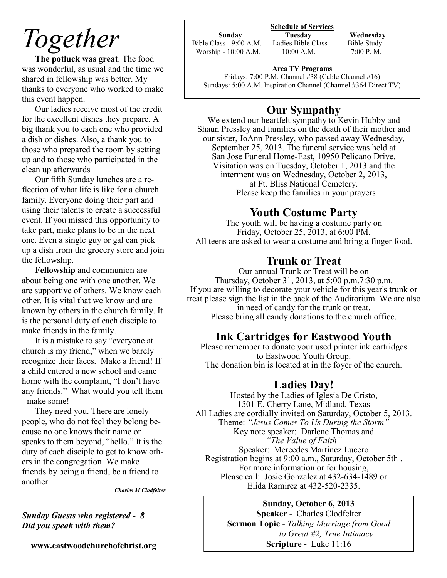# *Together*

**The potluck was great**. The food was wonderful, as usual and the time we shared in fellowship was better. My thanks to everyone who worked to make this event happen.

Our ladies receive most of the credit for the excellent dishes they prepare. A big thank you to each one who provided a dish or dishes. Also, a thank you to those who prepared the room by setting up and to those who participated in the clean up afterwards

Our fifth Sunday lunches are a reflection of what life is like for a church family. Everyone doing their part and using their talents to create a successful event. If you missed this opportunity to take part, make plans to be in the next one. Even a single guy or gal can pick up a dish from the grocery store and join the fellowship.

**Fellowship** and communion are about being one with one another. We are supportive of others. We know each other. It is vital that we know and are known by others in the church family. It is the personal duty of each disciple to make friends in the family.

It is a mistake to say "everyone at church is my friend," when we barely recognize their faces. Make a friend! If a child entered a new school and came home with the complaint, "I don't have any friends." What would you tell them - make some!

They need you. There are lonely people, who do not feel they belong because no one knows their name or speaks to them beyond, "hello." It is the duty of each disciple to get to know others in the congregation. We make friends by being a friend, be a friend to another.

*Charles M Clodfelter*

### *Sunday Guests who registered - 8 Did you speak with them?*

**www.eastwoodchurchofchrist.org**

#### **Schedule of Services**

Bible Class - 9:00 A.M. Ladies Bible Class Bible Study Worship - 10:00 A.M. 10:00 A.M. 7:00 P.M.

**Sunday Tuesday Wednesday** 

### **Area TV Programs**

Area TV Programs<br>Fridays: 7:00 P.M. Channel #38 (Cable Channel #16) Sundays: 5:00 A.M. Inspiration Channel (Channel #364 Direct TV)

# **Our Sympathy**

We extend our heartfelt sympathy to Kevin Hubby and Shaun Pressley and families on the death of their mother and our sister, JoAnn Pressley, who passed away Wednesday, September 25, 2013. The funeral service was held at San Jose Funeral Home-East, 10950 Pelicano Drive. Visitation was on Tuesday, October 1, 2013 and the interment was on Wednesday, October 2, 2013, at Ft. Bliss National Cemetery. Please keep the families in your prayers

## **Youth Costume Party**

The youth will be having a costume party on Friday, October 25, 2013, at 6:00 PM. All teens are asked to wear a costume and bring a finger food.

## **Trunk or Treat**

Our annual Trunk or Treat will be on Thursday, October 31, 2013, at 5:00 p.m.7:30 p.m. If you are willing to decorate your vehicle for this year's trunk or treat please sign the list in the back of the Auditorium. We are also in need of candy for the trunk or treat. Please bring all candy donations to the church office.

## **Ink Cartridges for Eastwood Youth**

Please remember to donate your used printer ink cartridges to Eastwood Youth Group. The donation bin is located at in the foyer of the church.

## **Ladies Day!**

Hosted by the Ladies of Iglesia De Cristo, 1501 E. Cherry Lane, Midland, Texas All Ladies are cordially invited on Saturday, October 5, 2013. Theme: *"Jesus Comes To Us During the Storm"* Key note speaker: Darlene Thomas and *"The Value of Faith"* Speaker: Mercedes Martinez Lucero Registration begins at 9:00 a.m., Saturday, October 5th . For more information or for housing, Please call: Josie Gonzalez at 432-634-1489 or Elida Ramirez at 432-520-2335.

### **Sunday, October 6, 2013**

**Speaker** - Charles Clodfelter **Sermon Topic** - *Talking Marriage from Good to Great #2, True Intimacy* **Scripture** - Luke 11:16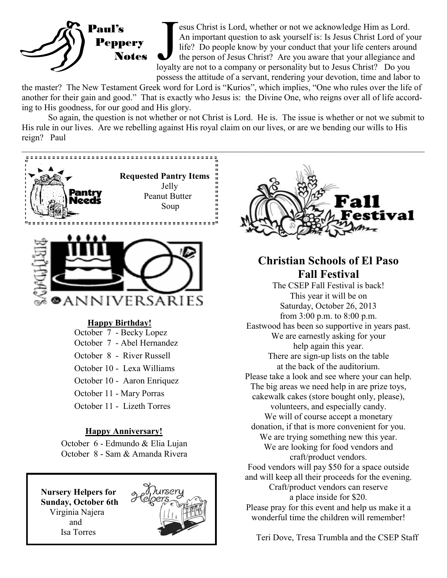

Examples are not we acknowledge Him as Lord.<br>An important question to ask yourself is: Is Jesus Christ Lord of your life? Do people know by your conduct that your life centers aroun the person of Jesus Christ? Are you awar esus Christ is Lord, whether or not we acknowledge Him as Lord. An important question to ask yourself is: Is Jesus Christ Lord of your life? Do people know by your conduct that your life centers around the person of Jesus Christ? Are you aware that your allegiance and possess the attitude of a servant, rendering your devotion, time and labor to

the master? The New Testament Greek word for Lord is "Kurios", which implies, "One who rules over the life of another for their gain and good." That is exactly who Jesus is: the Divine One, who reigns over all of life according to His goodness, for our good and His glory.

So again, the question is not whether or not Christ is Lord. He is. The issue is whether or not we submit to His rule in our lives. Are we rebelling against His royal claim on our lives, or are we bending our wills to His reign? Paul



Teri Dove, Tresa Trumbla and the CSEP Staff